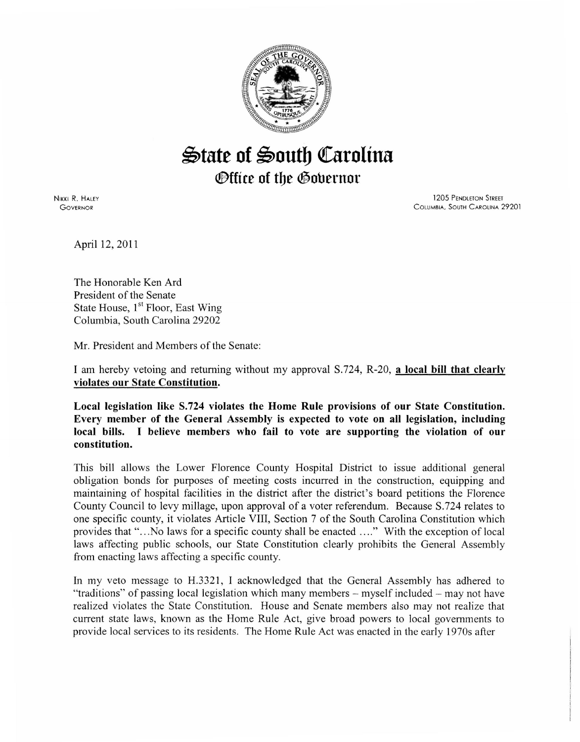

## $\mathfrak{S}$ tate of  $\mathfrak{S}$ outh Carolina *Office of the Governor*

NIKKI R. HALEY **GOVERNOR** 

1205 PENDLETON STREET CoLUMBIA. SouTH CAROLINA 29201

April 12, 2011

The Honorable Ken Ard President of the Senate State House, 1<sup>st</sup> Floor, East Wing Columbia, South Carolina 29202

Mr. President and Members of the Senate:

I am hereby vetoing and returning without my approval S.724, R-20, a local bill that clearly violates our State Constitution.

Local legislation like S.724 violates the Home Rule provisions of our State Constitution. Every member of the General Assembly is expected to vote on all legislation, including local bills. I believe members who fail to vote are supporting the violation of our constitution.

This bill allows the Lower Florence County Hospital District to issue additional general obligation bonds for purposes of meeting costs incurred in the construction, equipping and maintaining of hospital facilities in the district after the district's board petitions the Florence County Council to levy millage, upon approval of a voter referendum. Because S.724 relates to one specific county, it violates Article VIII, Section 7 of the South Carolina Constitution which provides that "... No laws for a specific county shall be enacted ...." With the exception of local laws affecting public schools, our State Constitution clearly prohibits the General Assembly from enacting laws affecting a specific county.

In my veto message to H.3321, I acknowledged that the General Assembly has adhered to "traditions" of passing local legislation which many members - myself included - may not have realized violates the State Constitution. House and Senate members also may not realize that current state laws, known as the Home Rule Act, give broad powers to local governments to provide local services to its residents. The Home Rule Act was enacted in the early 1970s after